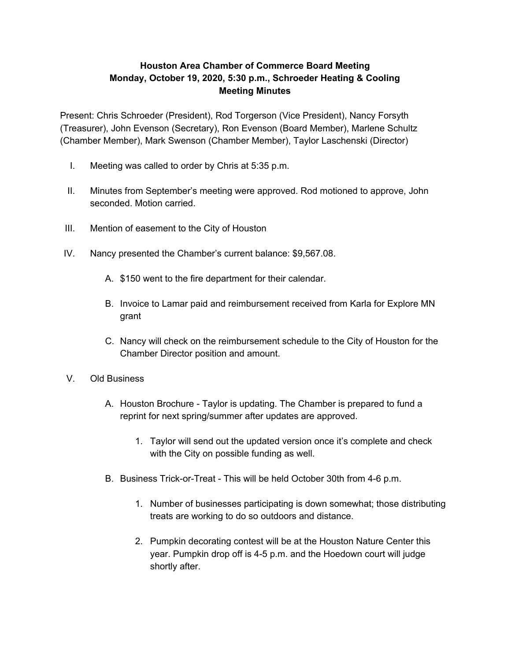## **Houston Area Chamber of Commerce Board Meeting Monday, October 19, 2020, 5:30 p.m., Schroeder Heating & Cooling Meeting Minutes**

Present: Chris Schroeder (President), Rod Torgerson (Vice President), Nancy Forsyth (Treasurer), John Evenson (Secretary), Ron Evenson (Board Member), Marlene Schultz (Chamber Member), Mark Swenson (Chamber Member), Taylor Laschenski (Director)

- I. Meeting was called to order by Chris at 5:35 p.m.
- II. Minutes from September's meeting were approved. Rod motioned to approve, John seconded. Motion carried.
- III. Mention of easement to the City of Houston
- IV. Nancy presented the Chamber's current balance: \$9,567.08.
	- A. \$150 went to the fire department for their calendar.
	- B. Invoice to Lamar paid and reimbursement received from Karla for Explore MN grant
	- C. Nancy will check on the reimbursement schedule to the City of Houston for the Chamber Director position and amount.
- V. Old Business
	- A. Houston Brochure Taylor is updating. The Chamber is prepared to fund a reprint for next spring/summer after updates are approved.
		- 1. Taylor will send out the updated version once it's complete and check with the City on possible funding as well.
	- B. Business Trick-or-Treat This will be held October 30th from 4-6 p.m.
		- 1. Number of businesses participating is down somewhat; those distributing treats are working to do so outdoors and distance.
		- 2. Pumpkin decorating contest will be at the Houston Nature Center this year. Pumpkin drop off is 4-5 p.m. and the Hoedown court will judge shortly after.